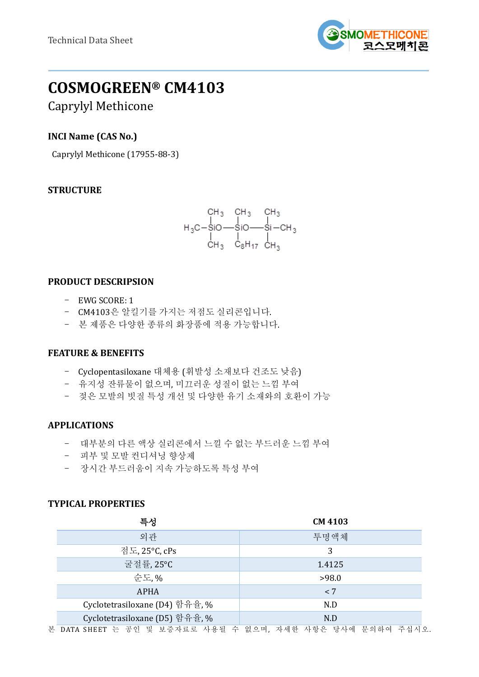

# **COSMOGREEN® CM4103**

Caprylyl Methicone

# **INCI Name (CAS No.)**

Caprylyl Methicone (17955-88-3)

# **STRUCTURE**



## **PRODUCT DESCRIPSION**

- EWG SCORE: 1
- CM4103은 알킬기를 가지는 저점도 실리콘입니다.
- 본 제품은 다양한 종류의 화장품에 적용 가능합니다.

## **FEATURE & BENEFITS**

- Cyclopentasiloxane 대체용 (휘발성 소재보다 건조도 낮음)
- 유지성 잔류물이 없으며, 미끄러운 성질이 없는 느낌 부여
- 젖은 모발의 빗질 특성 개선 및 다양한 유기 소재와의 호환이 가능

## **APPLICATIONS**

- 대부분의 다른 액상 실리콘에서 느낄 수 없는 부드러운 느낌 부여
- 피부 및 모발 컨디셔닝 향상제
- 장시간 부드러움이 지속 가능하도록 특성 부여

## **TYPICAL PROPERTIES**

| 특성                             | <b>CM 4103</b> |  |
|--------------------------------|----------------|--|
| 외관                             | 투명액체           |  |
| 점도, 25°C, cPs                  | 3              |  |
| 굴절률, 25°C                      | 1.4125         |  |
| 순도, %                          | >98.0          |  |
| <b>APHA</b>                    | < 7            |  |
| Cyclotetrasiloxane (D4) 함유율, % | N.D            |  |
| Cyclotetrasiloxane (D5) 함유율, % | N.D            |  |

본 DATA SHEET 는 공인 및 보증자료로 사용될 수 없으며, 자세한 사항은 당사에 문의하여 주십시오.